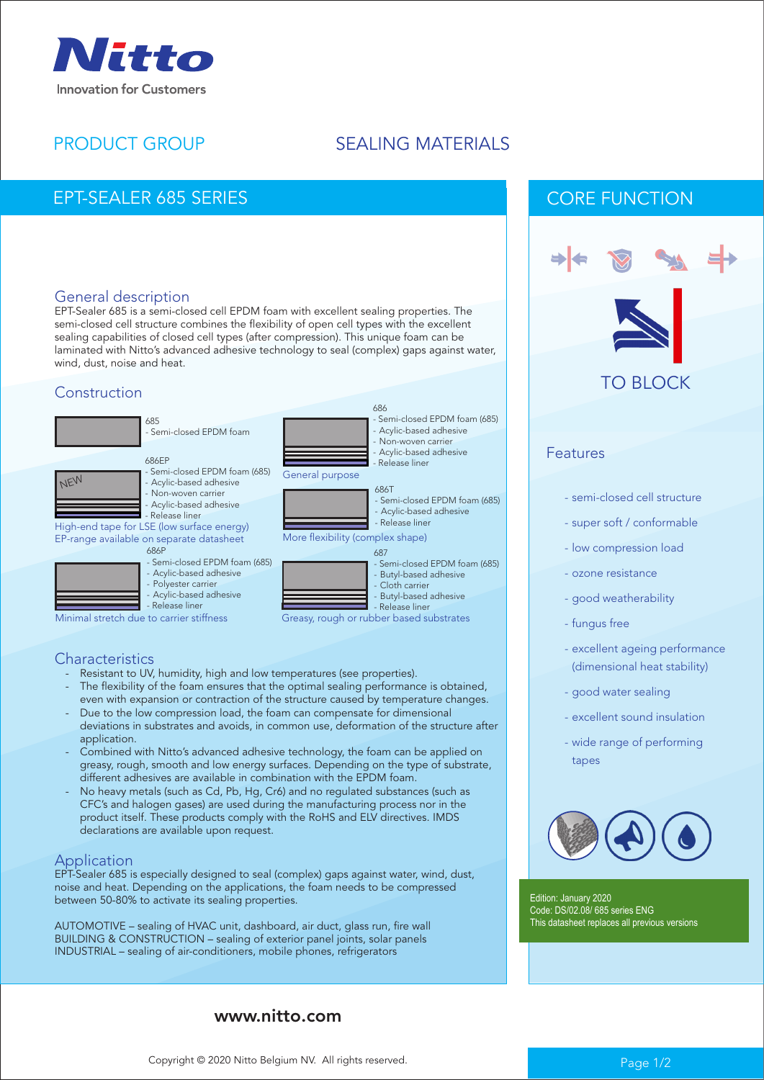

# PRODUCT GROUP

# SEALING MATERIALS

687

More flexibility (complex shape)

686T

686

General purpose

Greasy, rough or rubber based substrates

Semi-closed EPDM foam (685) Butyl-based adhesive Cloth carrier - Butyl-based adhesive - Release liner

- Semi-closed EPDM foam (685) - Acylic-based adhesive - Release liner

- Semi-closed EPDM foam (685) - Acylic-based adhesive Non-woven carrier Acylic-based adhesive - Release liner

## EPT-SEALER 685 SERIES

#### General description

EPT-Sealer 685 is a semi-closed cell EPDM foam with excellent sealing properties. The semi-closed cell structure combines the flexibility of open cell types with the excellent sealing capabilities of closed cell types (after compression). This unique foam can be laminated with Nitto's advanced adhesive technology to seal (complex) gaps against water, wind, dust, noise and heat.

#### Construction







High-end tape for LSE (low surface energy) EP-range available on separate datasheet



- Acylic-based adhesive
	-
- Acylic-based adhesive - Release liner

Minimal stretch due to carrier stiffness

#### **Characteristics**

- Resistant to UV, humidity, high and low temperatures (see properties).
- The flexibility of the foam ensures that the optimal sealing performance is obtained, even with expansion or contraction of the structure caused by temperature changes. Due to the low compression load, the foam can compensate for dimensional
- deviations in substrates and avoids, in common use, deformation of the structure after application.
- Combined with Nitto's advanced adhesive technology, the foam can be applied on greasy, rough, smooth and low energy surfaces. Depending on the type of substrate, different adhesives are available in combination with the EPDM foam.
- No heavy metals (such as Cd, Pb, Hg, Cr6) and no regulated substances (such as CFC's and halogen gases) are used during the manufacturing process nor in the product itself. These products comply with the RoHS and ELV directives. IMDS declarations are available upon request.

#### Application

EPT-Sealer 685 is especially designed to seal (complex) gaps against water, wind, dust, noise and heat. Depending on the applications, the foam needs to be compressed between 50-80% to activate its sealing properties.

AUTOMOTIVE – sealing of HVAC unit, dashboard, air duct, glass run, fire wall BUILDING & CONSTRUCTION – sealing of exterior panel joints, solar panels INDUSTRIAL – sealing of air-conditioners, mobile phones, refrigerators

### www.nitto.com





#### Features

- semi-closed cell structure
- super soft / conformable
- low compression load
- ozone resistance
- good weatherability
- fungus free
- excellent ageing performance (dimensional heat stability)
- good water sealing
- excellent sound insulation
- wide range of performing tapes



Edition: January 2020 Code: DS/02.08/ 685 series ENG This datasheet replaces all previous versions